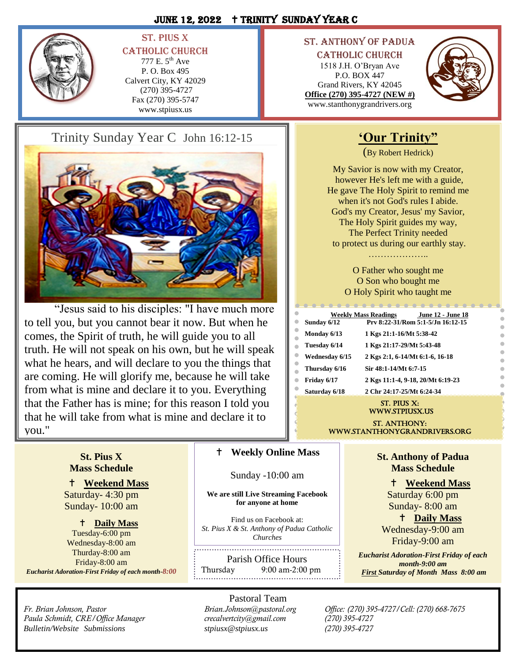## JUNE 12, 2022 + TRINITY SUNDAY YEAR C



## St. Pius X **CATHOLIC CHURCH**

777 E. 5th Ave P. O. Box 495 Calvert City, KY 42029 (270) 395-4727 Fax (270) 395-5747 www.stpiusx.us

# Trinity Sunday Year C John 16:12-15



"Jesus said to his disciples: "I have much more to tell you, but you cannot bear it now. But when he comes, the Spirit of truth, he will guide you to all truth. He will not speak on his own, but he will speak what he hears, and will declare to you the things that are coming. He will glorify me, because he will take from what is mine and declare it to you. Everything that the Father has is mine; for this reason I told you that he will take from what is mine and declare it to you."

## St. Anthony of Padua

Catholic Church 1518 J.H. O'Bryan Ave P.O. BOX 447 Grand Rivers, KY 42045 **Office (270) 395-4727 (NEW #)** www.stanthonygrandrivers.org



# **'Our Trinity"**

(By Robert Hedrick)

My Savior is now with my Creator, however He's left me with a guide, He gave The Holy Spirit to remind me when it's not God's rules I abide. God's my Creator, Jesus' my Savior, The Holy Spirit guides my way, The Perfect Trinity needed to protect us during our earthly stay.

> …………………… O Father who sought me

O Son who bought me O Holy Spirit who taught me

|                | <b>Weekly Mass Readings</b> | <b>June 12 - June 18</b>          |
|----------------|-----------------------------|-----------------------------------|
| Sunday 6/12    |                             | Prv 8:22-31/Rom 5:1-5/Jn 16:12-15 |
| Monday 6/13    | 1 Kgs 21:1-16/Mt 5:38-42    |                                   |
| Tuesday 6/14   | 1 Kgs 21:17-29/Mt 5:43-48   |                                   |
| Wednesdav 6/15 |                             | 2 Kgs 2:1, 6-14/Mt 6:1-6, 16-18   |
| Thursday 6/16  | Sir 48:1-14/Mt 6:7-15       |                                   |
| Friday 6/17    |                             | 2 Kgs 11:1-4, 9-18, 20/Mt 6:19-23 |
| Saturday 6/18  | 2 Chr 24:17-25/Mt 6:24-34   |                                   |
|                |                             |                                   |

### St. Pius X: www.stpiusx.us

ST. ANTHONY: www.stanthonygrandrivers.org

## **St. Pius X Mass Schedule**

 **Weekend Mass** Saturday- 4:30 pm Sunday- 10:00 am

## **Daily Mass**

Tuesday-6:00 pm Wednesday-8:00 am Thurday-8:00 am Friday-8:00 am *Eucharist Adoration-First Friday of each month-8:00*

*Paula Schmidt, CRE/Office Manager crecalvertcity@gmail.com (270) 395-4727 Bulletin/Website Submissions [stpiusx@stpiusx.us](mailto:stpiusx@stpiusx.us) (270) 395-4727*

## **Weekly Online Mass**

Sunday -10:00 am

**We are still Live Streaming Facebook for anyone at home**

Find us on Facebook at: *St. Pius X & St. Anthony of Padua Catholic Churches*

Parish Office Hours Thursday 9:00 am-2:00 pm

Pastoral Team

**St. Anthony of Padua Mass Schedule**

**Weekend Mass**

Saturday 6:00 pm Sunday- 8:00 am

 **Daily Mass** Wednesday-9:00 am Friday-9:00 am

*Eucharist Adoration-First Friday of each month-9:00 am First Saturday of Month Mass 8:00 am* 

*Fr. Brian Johnson, Pastor Brian.Johnson@pastoral.org Office: (270) 395-4727/Cell: (270) 668-7675*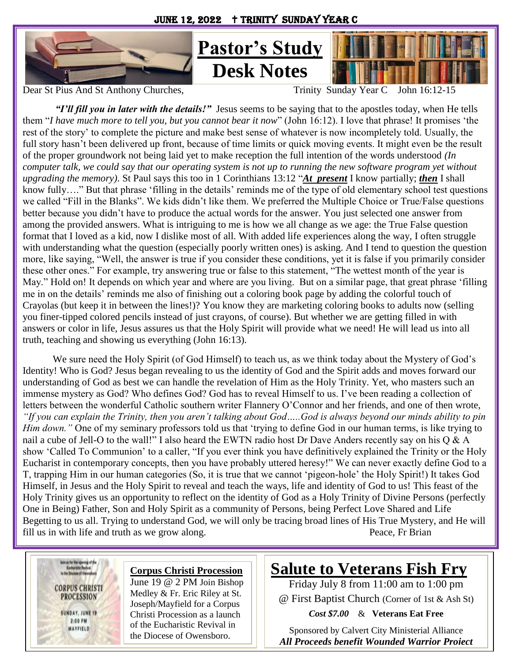**Desk Notes**



Dear St Pius And St Anthony Churches, Trinity Sunday Year C John 16:12-15

*"I'll fill you in later with the details!"* Jesus seems to be saying that to the apostles today, when He tells them "*I have much more to tell you, but you cannot bear it now*" (John 16:12). I love that phrase! It promises 'the rest of the story' to complete the picture and make best sense of whatever is now incompletely told. Usually, the full story hasn't been delivered up front, because of time limits or quick moving events. It might even be the result of the proper groundwork not being laid yet to make reception the full intention of the words understood *(In computer talk, we could say that our operating system is not up to running the new software program yet without upgrading the memory)*. St Paul says this too in 1 Corinthians 13:12 "*At present* I know partially; *then* I shall know fully…." But that phrase 'filling in the details' reminds me of the type of old elementary school test questions we called "Fill in the Blanks". We kids didn't like them. We preferred the Multiple Choice or True/False questions better because you didn't have to produce the actual words for the answer. You just selected one answer from among the provided answers. What is intriguing to me is how we all change as we age: the True False question format that I loved as a kid, now I dislike most of all. With added life experiences along the way, I often struggle with understanding what the question (especially poorly written ones) is asking. And I tend to question the question more, like saying, "Well, the answer is true if you consider these conditions, yet it is false if you primarily consider these other ones." For example, try answering true or false to this statement, "The wettest month of the year is May." Hold on! It depends on which year and where are you living. But on a similar page, that great phrase 'filling me in on the details' reminds me also of finishing out a coloring book page by adding the colorful touch of Crayolas (but keep it in between the lines!)? You know they are marketing coloring books to adults now (selling you finer-tipped colored pencils instead of just crayons, of course). But whether we are getting filled in with answers or color in life, Jesus assures us that the Holy Spirit will provide what we need! He will lead us into all truth, teaching and showing us everything (John 16:13).

We sure need the Holy Spirit (of God Himself) to teach us, as we think today about the Mystery of God's Identity! Who is God? Jesus began revealing to us the identity of God and the Spirit adds and moves forward our understanding of God as best we can handle the revelation of Him as the Holy Trinity. Yet, who masters such an immense mystery as God? Who defines God? God has to reveal Himself to us. I've been reading a collection of letters between the wonderful Catholic southern writer Flannery O'Connor and her friends, and one of then wrote, *"If you can explain the Trinity, then you aren't talking about God…..God is always beyond our minds ability to pin Him down.*" One of my seminary professors told us that 'trying to define God in our human terms, is like trying to nail a cube of Jell-O to the wall!" I also heard the EWTN radio host Dr Dave Anders recently say on his Q & A show 'Called To Communion' to a caller, "If you ever think you have definitively explained the Trinity or the Holy Eucharist in contemporary concepts, then you have probably uttered heresy!" We can never exactly define God to a T, trapping Him in our human categories (So, it is true that we cannot 'pigeon-hole' the Holy Spirit!) It takes God Himself, in Jesus and the Holy Spirit to reveal and teach the ways, life and identity of God to us! This feast of the Holy Trinity gives us an opportunity to reflect on the identity of God as a Holy Trinity of Divine Persons (perfectly One in Being) Father, Son and Holy Spirit as a community of Persons, being Perfect Love Shared and Life Begetting to us all. Trying to understand God, we will only be tracing broad lines of His True Mystery, and He will fill us in with life and truth as we grow along. Peace, Fr Brian



## **Corpus Christi Procession**

June 19 @ 2 PM Join Bishop Medley & Fr. Eric Riley at St. Joseph/Mayfield for a Corpus Christi Procession as a launch of the Eucharistic Revival in the Diocese of Owensboro.

Eucharistic Adoration will

# **Salute to Veterans Fish Fry**

Friday July 8 from 11:00 am to 1:00 pm @ First Baptist Church (Corner of 1st & Ash St)

*Cost \$7.00* & **Veterans Eat Free**

Sponsored by Calvert City Ministerial Alliance *All Proceeds benefit Wounded Warrior Project*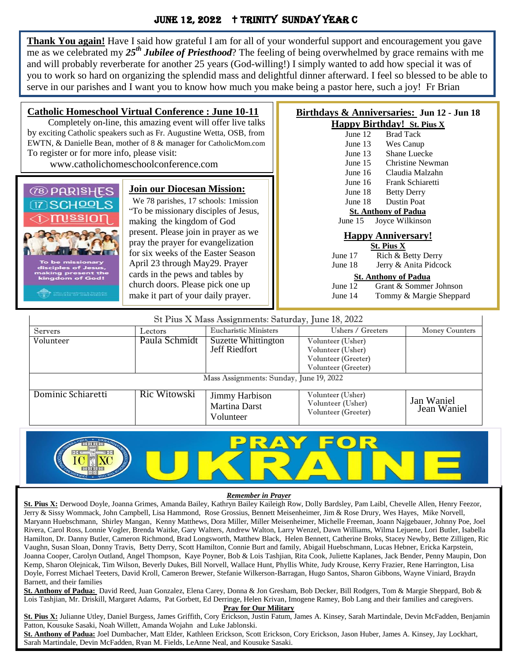## JUNE 12, 2022 + TRINITY SUNDAY YEAR C

**Thank You again!** Have I said how grateful I am for all of your wonderful support and encouragement you gave me as we celebrated my *25th Jubilee of Priesthood*? The feeling of being overwhelmed by grace remains with me and will probably reverberate for another 25 years (God-willing!) I simply wanted to add how special it was of you to work so hard on organizing the splendid mass and delightful dinner afterward. I feel so blessed to be able to serve in our parishes and I want you to know how much you make being a pastor here, such a joy! Fr Brian

| To register or for more info, please visit:                                                                                                                                                                                                                                                                                                                                                                                                                                                                                                        | <b>Catholic Homeschool Virtual Conference : June 10-11</b><br>Completely on-line, this amazing event will offer live talks<br>by exciting Catholic speakers such as Fr. Augustine Wetta, OSB, from<br>EWTN, & Danielle Bean, mother of 8 & manager for CatholicMom.com<br>www.catholichomeschoolconference.com | Birthdays & Anniversaries: Jun 12 - Jun 18<br><b>Happy Birthday!</b> St. Pius X<br><b>Brad Tack</b><br>June $12$<br>June 13<br>Wes Canup<br>Shane Luecke<br>June $13$<br>Christine Newman<br>June $15$<br>Claudia Malzahn<br>June $16$                                                                                                                                                     |  |
|----------------------------------------------------------------------------------------------------------------------------------------------------------------------------------------------------------------------------------------------------------------------------------------------------------------------------------------------------------------------------------------------------------------------------------------------------------------------------------------------------------------------------------------------------|----------------------------------------------------------------------------------------------------------------------------------------------------------------------------------------------------------------------------------------------------------------------------------------------------------------|--------------------------------------------------------------------------------------------------------------------------------------------------------------------------------------------------------------------------------------------------------------------------------------------------------------------------------------------------------------------------------------------|--|
| <b>Join our Diocesan Mission:</b><br><b><i>OB PARISHES</i></b><br>We 78 parishes, 17 schools: 1 mission<br>17 SCHOOLS<br>"To be missionary disciples of Jesus,<br>making the kingdom of God<br>present. Please join in prayer as we<br>pray the prayer for evangelization<br>for six weeks of the Easter Season<br>To be missionary<br>April 23 through May29. Prayer<br>disciples of Jesus,<br>making present the<br>cards in the pews and tables by<br>kingdom of God!<br>church doors. Please pick one up<br>make it part of your daily prayer. |                                                                                                                                                                                                                                                                                                                | Frank Schiaretti<br>June $16$<br>June 18<br><b>Betty Derry</b><br>Dustin Poat<br>June 18<br><b>St. Anthony of Padua</b><br>June $15$<br>Joyce Wilkinson<br><b>Happy Anniversary!</b><br><b>St. Pius X</b><br>Rich & Betty Derry<br>June 17<br>Jerry & Anita Pidcock<br>June 18<br><b>St. Anthony of Padua</b><br>June 12<br>Grant & Sommer Johnson<br>Tommy & Margie Sheppard<br>June $14$ |  |

| St Pius X Mass Assignments: Saturday, June 18, 2022 |              |                                              |                                                                                      |                           |  |
|-----------------------------------------------------|--------------|----------------------------------------------|--------------------------------------------------------------------------------------|---------------------------|--|
| Servers<br>Lectors                                  |              | Eucharistic Ministers                        | Ushers / Greeters                                                                    | <b>Money Counters</b>     |  |
| Paula Schmidt<br>Volunteer                          |              | Suzette Whittington<br>Jeff Riedfort         | Volunteer (Usher)<br>Volunteer (Usher)<br>Volunteer (Greeter)<br>Volunteer (Greeter) |                           |  |
| Mass Assignments: Sunday, June 19, 2022             |              |                                              |                                                                                      |                           |  |
| Dominic Schiaretti                                  | Ric Witowski | Jimmy Harbison<br>Martina Darst<br>Volunteer | Volunteer (Usher)<br>Volunteer (Usher)<br>Volunteer (Greeter)                        | Jan Waniel<br>Jean Waniel |  |



### *Remember in Prayer*

**St. Pius X:** Derwood Doyle, Joanna Grimes, Amanda Bailey, Kathryn Bailey Kaileigh Row, Dolly Bardsley, Pam Laibl, Chevelle Allen, Henry Feezor, Jerry & Sissy Wommack, John Campbell, Lisa Hammond, Rose Grossius, Bennett Meisenheimer, Jim & Rose Drury, Wes Hayes, Mike Norvell, Maryann Huebschmann, Shirley Mangan, Kenny Matthews, Dora Miller, Miller Meisenheimer, Michelle Freeman, Joann Najgebauer, Johnny Poe, Joel Rivera, Carol Ross, Lonnie Vogler, Brenda Waitke, Gary Walters, Andrew Walton, Larry Wenzel, Dawn Williams, Wilma Lejuene, Lori Butler, Isabella Hamilton, Dr. Danny Butler, Cameron Richmond, Brad Longsworth, Matthew Black, Helen Bennett, Catherine Broks, Stacey Newby, Bette Zilligen, Ric Vaughn, Susan Sloan, Donny Travis, Betty Derry, Scott Hamilton, Connie Burt and family, Abigail Huebschmann, Lucas Hebner, Ericka Karpstein, Joanna Cooper, Carolyn Outland, Angel Thompson, Kaye Poyner, Bob & Lois Tashjian, Rita Cook, Juliette Kaplanes, Jack Bender, Penny Maupin, Don Kemp, Sharon Olejnicak, Tim Wilson, Beverly Dukes, Bill Norvell, Wallace Hunt, Phyllis White, Judy Krouse, Kerry Frazier, Rene Harrington, Lisa Doyle, Forrest Michael Teeters, David Kroll, Cameron Brewer, Stefanie Wilkerson-Barragan, Hugo Santos, Sharon Gibbons, Wayne Viniard, Braydn Barnett, and their families

**St. Anthony of Padua:** David Reed, Juan Gonzalez, Elena Carey, Donna & Jon Gresham, Bob Decker, Bill Rodgers, Tom & Margie Sheppard, Bob & Lois Tashjian, Mr. Driskill, Margaret Adams, Pat Gorbett, Ed Derringe, Helen Krivan, Imogene Ramey, Bob Lang and their families and caregivers.

### **Pray for Our Military**

**St. Pius X:** Julianne Utley, Daniel Burgess, James Griffith, Cory Erickson, Justin Fatum, James A. Kinsey, Sarah Martindale, Devin McFadden, Benjamin Patton, Kousuke Sasaki, Noah Willett, Amanda Wojahn and Luke Jablonski.

**St. Anthony of Padua:** Joel Dumbacher, Matt Elder, Kathleen Erickson, Scott Erickson, Cory Erickson, Jason Huber, James A. Kinsey, Jay Lockhart, Sarah Martindale, Devin McFadden, Ryan M. Fields, LeAnne Neal, and Kousuke Sasaki.